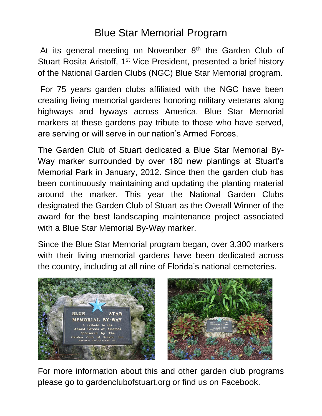## Blue Star Memorial Program

At its general meeting on November  $8<sup>th</sup>$  the Garden Club of Stuart Rosita Aristoff, 1<sup>st</sup> Vice President, presented a brief history of the National Garden Clubs (NGC) Blue Star Memorial program.

For 75 years garden clubs affiliated with the NGC have been creating living memorial gardens honoring military veterans along highways and byways across America. Blue Star Memorial markers at these gardens pay tribute to those who have served, are serving or will serve in our nation's Armed Forces.

The Garden Club of Stuart dedicated a Blue Star Memorial By-Way marker surrounded by over 180 new plantings at Stuart's Memorial Park in January, 2012. Since then the garden club has been continuously maintaining and updating the planting material around the marker. This year the National Garden Clubs designated the Garden Club of Stuart as the Overall Winner of the award for the best landscaping maintenance project associated with a Blue Star Memorial By-Way marker.

Since the Blue Star Memorial program began, over 3,300 markers with their living memorial gardens have been dedicated across the country, including at all nine of Florida's national cemeteries.



For more information about this and other garden club programs please go to gardenclubofstuart.org or find us on Facebook.